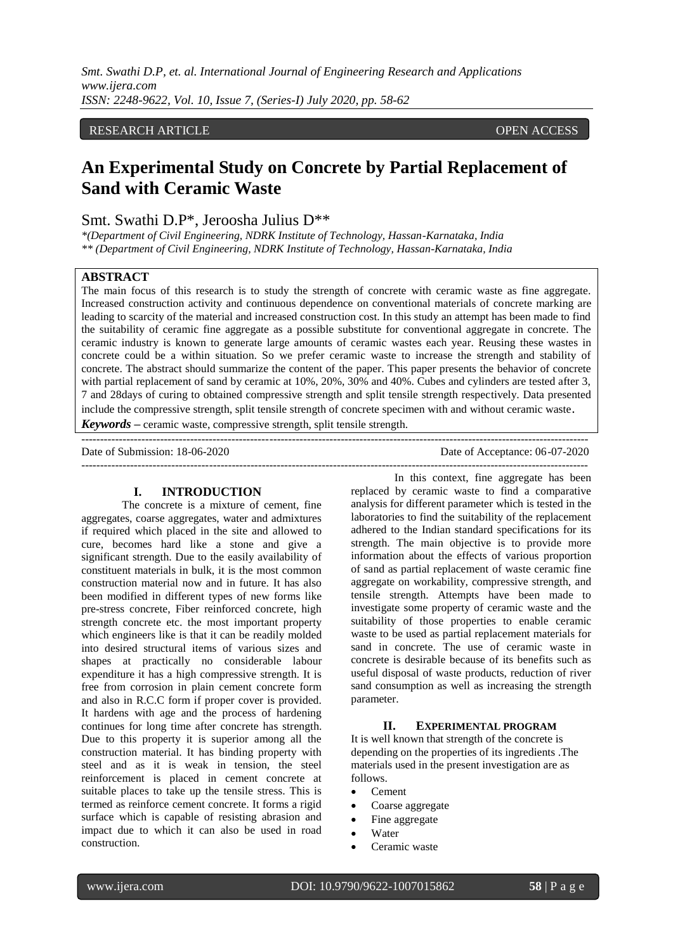*Smt. Swathi D.P, et. al. International Journal of Engineering Research and Applications www.ijera.com ISSN: 2248-9622, Vol. 10, Issue 7, (Series-I) July 2020, pp. 58-62*

# RESEARCH ARTICLE **CONTRACT ARTICLE**

# **An Experimental Study on Concrete by Partial Replacement of Sand with Ceramic Waste**

# Smt. Swathi D.P\*, Jeroosha Julius D\*\*

*\*(Department of Civil Engineering, NDRK Institute of Technology, Hassan-Karnataka, India \*\* (Department of Civil Engineering, NDRK Institute of Technology, Hassan-Karnataka, India*

# **ABSTRACT**

The main focus of this research is to study the strength of concrete with ceramic waste as fine aggregate. Increased construction activity and continuous dependence on conventional materials of concrete marking are leading to scarcity of the material and increased construction cost. In this study an attempt has been made to find the suitability of ceramic fine aggregate as a possible substitute for conventional aggregate in concrete. The ceramic industry is known to generate large amounts of ceramic wastes each year. Reusing these wastes in concrete could be a within situation. So we prefer ceramic waste to increase the strength and stability of concrete. The abstract should summarize the content of the paper. This paper presents the behavior of concrete with partial replacement of sand by ceramic at 10%, 20%, 30% and 40%. Cubes and cylinders are tested after 3, 7 and 28days of curing to obtained compressive strength and split tensile strength respectively. Data presented include the compressive strength, split tensile strength of concrete specimen with and without ceramic waste.

---------------------------------------------------------------------------------------------------------------------------------------

*Keywords* **–** ceramic waste, compressive strength, split tensile strength.

Date of Submission: 18-06-2020 Date of Acceptance: 06-07-2020

---------------------------------------------------------------------------------------------------------------------------------------

# **I. INTRODUCTION**

The concrete is a mixture of cement, fine aggregates, coarse aggregates, water and admixtures if required which placed in the site and allowed to cure, becomes hard like a stone and give a significant strength. Due to the easily availability of constituent materials in bulk, it is the most common construction material now and in future. It has also been modified in different types of new forms like pre-stress concrete, Fiber reinforced concrete, high strength concrete etc. the most important property which engineers like is that it can be readily molded into desired structural items of various sizes and shapes at practically no considerable labour expenditure it has a high compressive strength. It is free from corrosion in plain cement concrete form and also in R.C.C form if proper cover is provided. It hardens with age and the process of hardening continues for long time after concrete has strength. Due to this property it is superior among all the construction material. It has binding property with steel and as it is weak in tension, the steel reinforcement is placed in cement concrete at suitable places to take up the tensile stress. This is termed as reinforce cement concrete. It forms a rigid surface which is capable of resisting abrasion and impact due to which it can also be used in road construction.

In this context, fine aggregate has been replaced by ceramic waste to find a comparative analysis for different parameter which is tested in the laboratories to find the suitability of the replacement adhered to the Indian standard specifications for its strength. The main objective is to provide more information about the effects of various proportion of sand as partial replacement of waste ceramic fine aggregate on workability, compressive strength, and tensile strength. Attempts have been made to investigate some property of ceramic waste and the suitability of those properties to enable ceramic waste to be used as partial replacement materials for sand in concrete. The use of ceramic waste in concrete is desirable because of its benefits such as useful disposal of waste products, reduction of river sand consumption as well as increasing the strength parameter.

#### **II. EXPERIMENTAL PROGRAM**

It is well known that strength of the concrete is depending on the properties of its ingredients .The materials used in the present investigation are as follows.

- Cement
- Coarse aggregate
- Fine aggregate
- Water
- Ceramic waste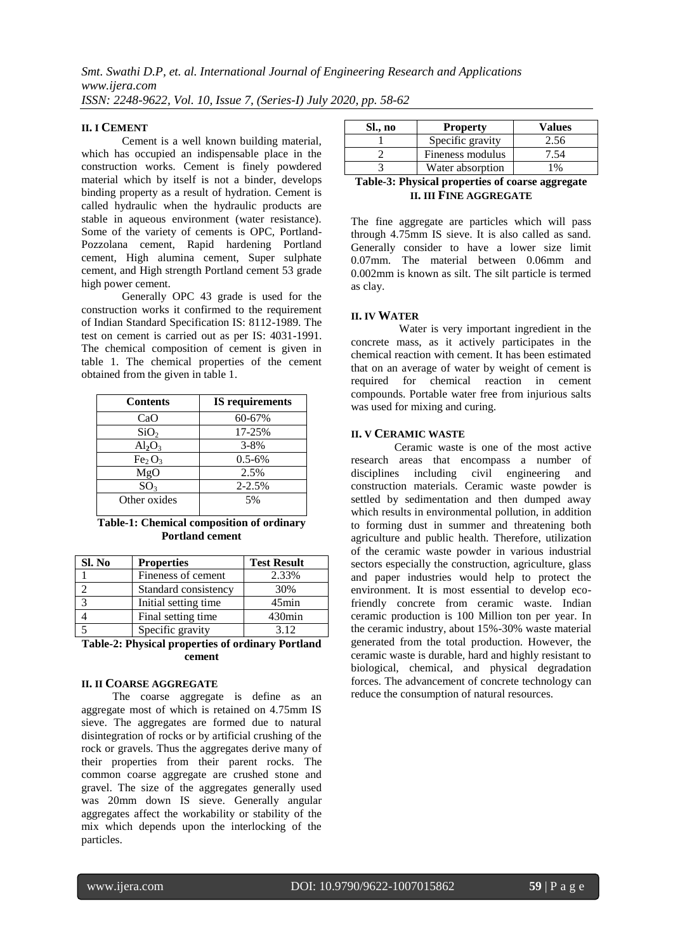#### **II. I CEMENT**

Cement is a well known building material, which has occupied an indispensable place in the construction works. Cement is finely powdered material which by itself is not a binder, develops binding property as a result of hydration. Cement is called hydraulic when the hydraulic products are stable in aqueous environment (water resistance). Some of the variety of cements is OPC, Portland-Pozzolana cement, Rapid hardening Portland cement, High alumina cement, Super sulphate cement, and High strength Portland cement 53 grade high power cement.

Generally OPC 43 grade is used for the construction works it confirmed to the requirement of Indian Standard Specification IS: 8112-1989. The test on cement is carried out as per IS: 4031-1991. The chemical composition of cement is given in table 1. The chemical properties of the cement obtained from the given in table 1.

| <b>Contents</b>                | <b>IS</b> requirements |  |  |
|--------------------------------|------------------------|--|--|
| CaO                            | 60-67%                 |  |  |
| SiO <sub>2</sub>               | 17-25%                 |  |  |
| $Al_2O_3$                      | $3 - 8%$               |  |  |
| Fe <sub>2</sub> O <sub>3</sub> | $0.5 - 6\%$            |  |  |
| MgO                            | 2.5%                   |  |  |
| SO <sub>3</sub>                | $2 - 2.5%$             |  |  |
| Other oxides                   | 5%                     |  |  |
|                                |                        |  |  |

**Table-1: Chemical composition of ordinary Portland cement**

| Sl. No | <b>Properties</b>     | <b>Test Result</b> |
|--------|-----------------------|--------------------|
|        | Fineness of cement    | 2.33%              |
|        | Standard consistency  | 30%                |
|        | Initial setting time. | $45$ min           |
|        | Final setting time    | $430$ min          |
|        | Specific gravity      | 3.12               |

**Table-2: Physical properties of ordinary Portland cement**

#### **II. II COARSE AGGREGATE**

 The coarse aggregate is define as an aggregate most of which is retained on 4.75mm IS sieve. The aggregates are formed due to natural disintegration of rocks or by artificial crushing of the rock or gravels. Thus the aggregates derive many of their properties from their parent rocks. The common coarse aggregate are crushed stone and gravel. The size of the aggregates generally used was 20mm down IS sieve. Generally angular aggregates affect the workability or stability of the mix which depends upon the interlocking of the particles.

| Sl., no                                            | <b>Property</b>  | Values          |  |  |
|----------------------------------------------------|------------------|-----------------|--|--|
|                                                    | Specific gravity | 2.56            |  |  |
|                                                    | Fineness modulus | .54             |  |  |
|                                                    | Water absorption | 10 <sub>0</sub> |  |  |
| $\mathbf{m}$ is a model in the set of $\mathbf{m}$ |                  |                 |  |  |

# **Table-3: Physical properties of coarse aggregate II. III FINE AGGREGATE**

The fine aggregate are particles which will pass through 4.75mm IS sieve. It is also called as sand. Generally consider to have a lower size limit 0.07mm. The material between 0.06mm and 0.002mm is known as silt. The silt particle is termed as clay.

#### **II. IV WATER**

Water is very important ingredient in the concrete mass, as it actively participates in the chemical reaction with cement. It has been estimated that on an average of water by weight of cement is required for chemical reaction in cement compounds. Portable water free from injurious salts was used for mixing and curing.

#### **II. V CERAMIC WASTE**

Ceramic waste is one of the most active research areas that encompass a number of disciplines including civil engineering and construction materials. Ceramic waste powder is settled by sedimentation and then dumped away which results in environmental pollution, in addition to forming dust in summer and threatening both agriculture and public health. Therefore, utilization of the ceramic waste powder in various industrial sectors especially the construction, agriculture, glass and paper industries would help to protect the environment. It is most essential to develop ecofriendly concrete from ceramic waste. Indian ceramic production is 100 Million ton per year. In the ceramic industry, about 15%-30% waste material generated from the total production. However, the ceramic waste is durable, hard and highly resistant to biological, chemical, and physical degradation forces. The advancement of concrete technology can reduce the consumption of natural resources.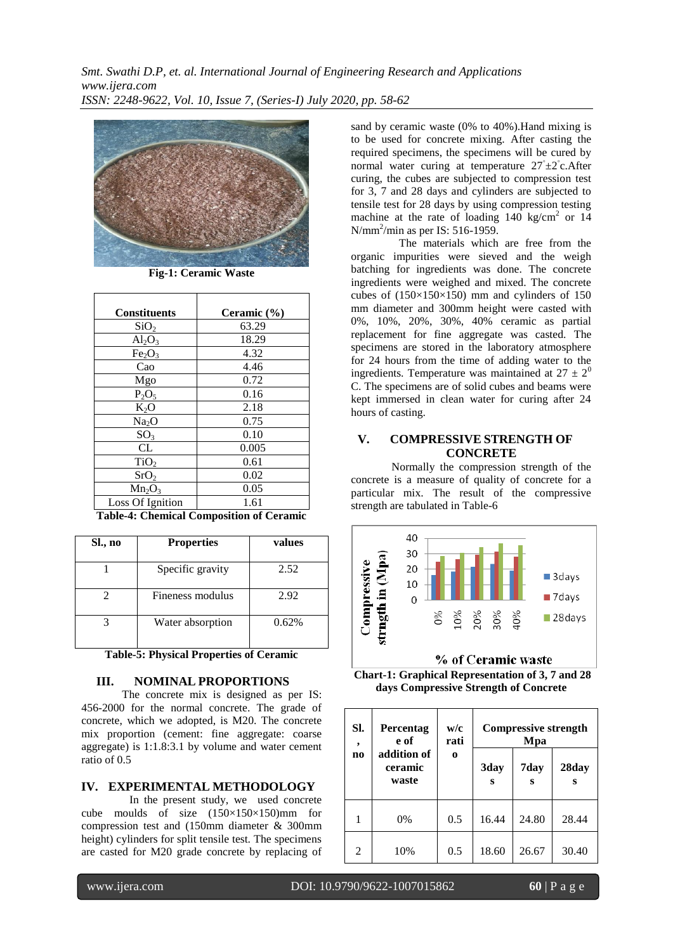*Smt. Swathi D.P, et. al. International Journal of Engineering Research and Applications www.ijera.com ISSN: 2248-9622, Vol. 10, Issue 7, (Series-I) July 2020, pp. 58-62*



**Fig-1: Ceramic Waste**

| <b>Constituents</b>            | Ceramic (%) |
|--------------------------------|-------------|
| SiO <sub>2</sub>               | 63.29       |
| $Al_2O_3$                      | 18.29       |
| Fe <sub>2</sub> O <sub>3</sub> | 4.32        |
| Cao                            | 4.46        |
| Mgo                            | 0.72        |
| $P_2O_5$                       | 0.16        |
| $K_2O$                         | 2.18        |
| Na <sub>2</sub> O              | 0.75        |
| SO <sub>3</sub>                | 0.10        |
| CL                             | 0.005       |
| TiO <sub>2</sub>               | 0.61        |
| SrO <sub>2</sub>               | 0.02        |
| $Mn_2O_3$                      | 0.05        |
| Loss Of Ignition               | 1.61        |

**Table-4: Chemical Composition of Ceramic**

| Sl., no | <b>Properties</b> | values |
|---------|-------------------|--------|
|         | Specific gravity  | 2.52   |
|         | Fineness modulus  | 2.92   |
|         | Water absorption  | 0.62%  |

**Table-5: Physical Properties of Ceramic**

#### **III. NOMINAL PROPORTIONS**

The concrete mix is designed as per IS: 456-2000 for the normal concrete. The grade of concrete, which we adopted, is M20. The concrete mix proportion (cement: fine aggregate: coarse aggregate) is 1:1.8:3.1 by volume and water cement ratio of 0.5

# **IV. EXPERIMENTAL METHODOLOGY**

In the present study, we used concrete cube moulds of size (150×150×150)mm for compression test and (150mm diameter & 300mm height) cylinders for split tensile test. The specimens are casted for M20 grade concrete by replacing of

sand by ceramic waste (0% to 40%).Hand mixing is to be used for concrete mixing. After casting the required specimens, the specimens will be cured by normal water curing at temperature 27°±2<sup>°</sup>c.After curing, the cubes are subjected to compression test for 3, 7 and 28 days and cylinders are subjected to tensile test for 28 days by using compression testing machine at the rate of loading  $140 \text{ kg/cm}^2$  or  $14$ N/mm<sup>2</sup>/min as per IS: 516-1959.

The materials which are free from the organic impurities were sieved and the weigh batching for ingredients was done. The concrete ingredients were weighed and mixed. The concrete cubes of  $(150\times150\times150)$  mm and cylinders of 150 mm diameter and 300mm height were casted with 0%, 10%, 20%, 30%, 40% ceramic as partial replacement for fine aggregate was casted. The specimens are stored in the laboratory atmosphere for 24 hours from the time of adding water to the ingredients. Temperature was maintained at  $27 \pm 2^0$ C. The specimens are of solid cubes and beams were kept immersed in clean water for curing after 24 hours of casting.

# **V. COMPRESSIVE STRENGTH OF CONCRETE**

Normally the compression strength of the concrete is a measure of quality of concrete for a particular mix. The result of the compressive strength are tabulated in Table-6



% of Ceramic waste

**Chart-1: Graphical Representation of 3, 7 and 28 days Compressive Strength of Concrete**

| SI.<br>,       | <b>Percentag</b><br>e of        | w/c<br>rati | <b>Compressive strength</b><br>Mpa |           |            |
|----------------|---------------------------------|-------------|------------------------------------|-----------|------------|
| n <sub>0</sub> | addition of<br>ceramic<br>waste | $\bf{o}$    | 3day<br>s                          | 7day<br>s | 28day<br>S |
|                | 0%                              | 0.5         | 16.44                              | 24.80     | 28.44      |
| 2              | 10%                             | 0.5         | 18.60                              | 26.67     | 30.40      |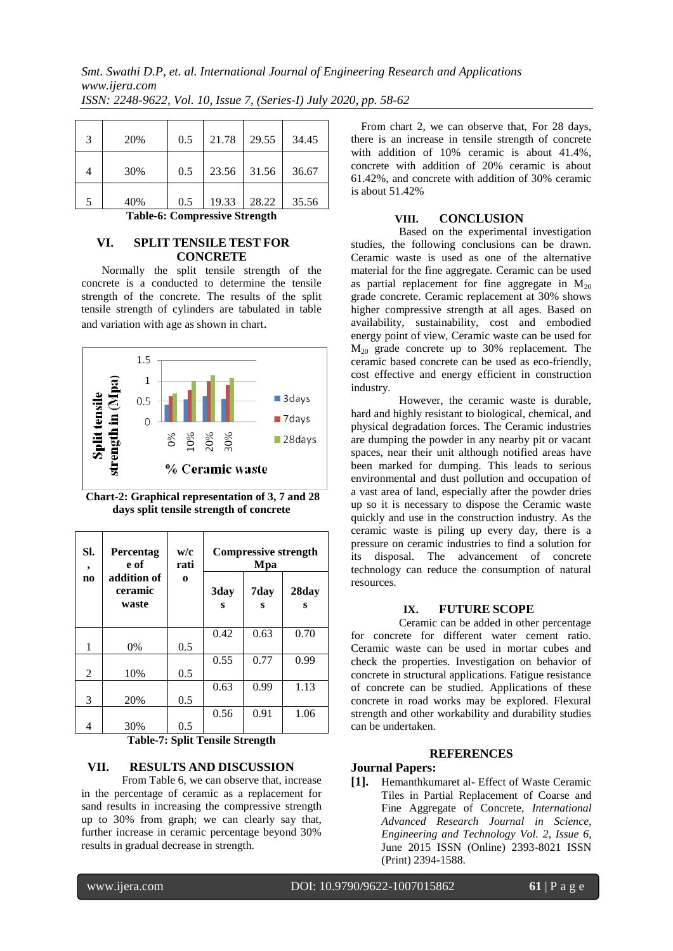| 3 | 20% | 0.5 | 21.78 | 29.55       | 34.45 |
|---|-----|-----|-------|-------------|-------|
|   | 30% | 0.5 |       | 23.56 31.56 | 36.67 |
| 5 | 40% | 0.5 | 19.33 | 28.22       | 35.56 |

**Table-6: Compressive Strength**

# **VI. SPLIT TENSILE TEST FOR CONCRETE**

Normally the split tensile strength of the concrete is a conducted to determine the tensile strength of the concrete. The results of the split tensile strength of cylinders are tabulated in table and variation with age as shown in chart.



**Chart-2: Graphical representation of 3, 7 and 28 days split tensile strength of concrete**

| SI.<br>$\overline{\phantom{a}}$ | Percentag<br>e of               | w/c<br>rati | <b>Compressive strength</b><br>Mpa |           |            |
|---------------------------------|---------------------------------|-------------|------------------------------------|-----------|------------|
| n <sub>0</sub>                  | addition of<br>ceramic<br>waste | $\bf{0}$    | 3day<br>s                          | 7day<br>s | 28day<br>s |
|                                 |                                 |             | 0.42                               | 0.63      | 0.70       |
| 1                               | 0%                              | 0.5         |                                    |           |            |
| 2                               | 10%                             | 0.5         | 0.55                               | 0.77      | 0.99       |
|                                 |                                 |             | 0.63                               | 0.99      | 1.13       |
| 3                               | 20%                             | 0.5         |                                    |           |            |
|                                 |                                 |             | 0.56                               | 0.91      | 1.06       |
| 4                               | 30%                             | 0.5         |                                    |           |            |

**Table-7: Split Tensile Strength**

### **VII. RESULTS AND DISCUSSION**

From Table 6, we can observe that, increase in the percentage of ceramic as a replacement for sand results in increasing the compressive strength up to 30% from graph; we can clearly say that, further increase in ceramic percentage beyond 30% results in gradual decrease in strength.

From chart 2, we can observe that, For 28 days, there is an increase in tensile strength of concrete with addition of 10% ceramic is about 41.4%, concrete with addition of 20% ceramic is about 61.42%, and concrete with addition of 30% ceramic is about 51.42%

## **VIII. CONCLUSION**

Based on the experimental investigation studies, the following conclusions can be drawn. Ceramic waste is used as one of the alternative material for the fine aggregate. Ceramic can be used as partial replacement for fine aggregate in  $M_{20}$ grade concrete. Ceramic replacement at 30% shows higher compressive strength at all ages. Based on availability, sustainability, cost and embodied energy point of view, Ceramic waste can be used for  $M_{20}$  grade concrete up to 30% replacement. The ceramic based concrete can be used as eco-friendly, cost effective and energy efficient in construction industry.

However, the ceramic waste is durable, hard and highly resistant to biological, chemical, and physical degradation forces. The Ceramic industries are dumping the powder in any nearby pit or vacant spaces, near their unit although notified areas have been marked for dumping. This leads to serious environmental and dust pollution and occupation of a vast area of land, especially after the powder dries up so it is necessary to dispose the Ceramic waste quickly and use in the construction industry. As the ceramic waste is piling up every day, there is a pressure on ceramic industries to find a solution for its disposal. The advancement of concrete technology can reduce the consumption of natural resources.

### **IX. FUTURE SCOPE**

Ceramic can be added in other percentage for concrete for different water cement ratio. Ceramic waste can be used in mortar cubes and check the properties. Investigation on behavior of concrete in structural applications. Fatigue resistance of concrete can be studied. Applications of these concrete in road works may be explored. Flexural strength and other workability and durability studies can be undertaken.

## **REFERENCES**

#### **Journal Papers:**

**[1].** Hemanthkumaret al- Effect of Waste Ceramic Tiles in Partial Replacement of Coarse and Fine Aggregate of Concrete, *International Advanced Research Journal in Science, Engineering and Technology Vol. 2, Issue 6*, June 2015 ISSN (Online) 2393-8021 ISSN (Print) 2394-1588.